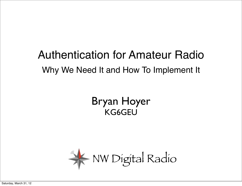#### Authentication for Amateur Radio Why We Need It and How To Implement It

#### Bryan Hoyer KG6GEU

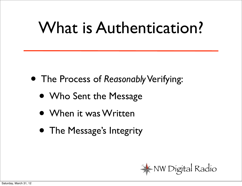#### What is Authentication?

- The Process of *Reasonably* Verifying:
	- Who Sent the Message
	- When it was Written
	- The Message's Integrity

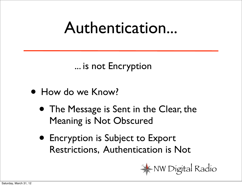#### Authentication...

... is not Encryption

- How do we Know?
	- The Message is Sent in the Clear, the Meaning is Not Obscured
	- Encryption is Subject to Export Restrictions, Authentication is Not

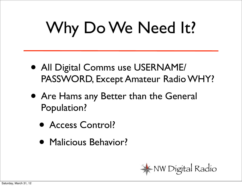# Why Do We Need It?

- All Digital Comms use USERNAME/ PASSWORD, Except Amateur Radio WHY?
- Are Hams any Better than the General Population?
	- Access Control?
	- Malicious Behavior?

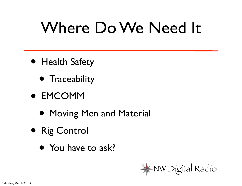## Where Do We Need It

- Health Safety
	- **•** Traceability
- EMCOMM
	- Moving Men and Material
- Rig Control
	- You have to ask?

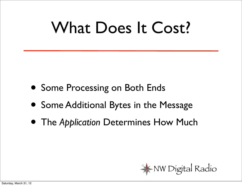### What Does It Cost?

- Some Processing on Both Ends
- Some Additional Bytes in the Message
- The *Application* Determines How Much

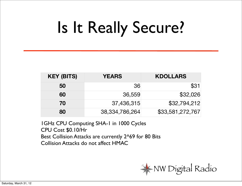# Is It Really Secure?

| <b>KEY (BITS)</b> | <b>YEARS</b>      | <b>KDOLLARS</b>  |
|-------------------|-------------------|------------------|
| 50                | 36                | \$31             |
| 60                | 36,559            | \$32,026         |
| 70                | 37,436,315        | \$32,794,212     |
| 80                | 38, 334, 786, 264 | \$33,581,272,767 |

1GHz CPU Computing SHA-1 in 1000 Cycles CPU Cost \$0.10/Hr Best Collision Attacks are currently 2^69 for 80 Bits Collision Attacks do not affect HMAC

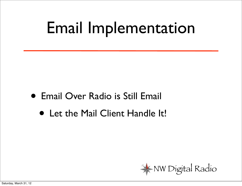#### Email Implementation

- Email Over Radio is Still Email
	- Let the Mail Client Handle It!

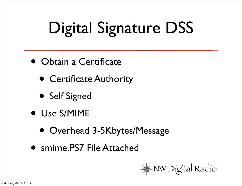# Digital Signature DSS

- Obtain a Certificate
	- Certificate Authority
	- Self Signed
- Use S/MIME
	- Overhead 3-5Kbytes/Message
- smime.PS7 File Attached

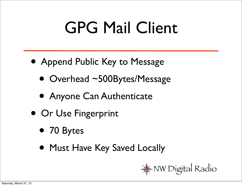## GPG Mail Client

- Append Public Key to Message
	- Overhead ~500Bytes/Message
	- Anyone Can Authenticate
- Or Use Fingerprint
	- 70 Bytes
	- Must Have Key Saved Locally

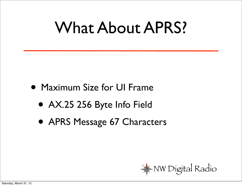#### What About APRS?

- Maximum Size for UI Frame
	- AX.25 256 Byte Info Field
	- APRS Message 67 Characters

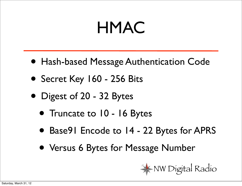#### HMAC

- Hash-based Message Authentication Code
- Secret Key 160 256 Bits
- Digest of 20 32 Bytes
	- Truncate to 10 16 Bytes
	- Base91 Encode to 14 22 Bytes for APRS
	- Versus 6 Bytes for Message Number

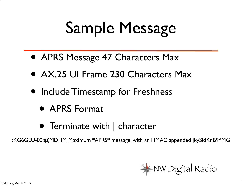## Sample Message

- APRS Message 47 Characters Max
- AX.25 UI Frame 230 Characters Max
- Include Timestamp for Freshness
	- APRS Format
	- Terminate with | character

:KG6GEU-00:@MDHM Maximum \*APRS\* message, with an HMAC appended |kySfdKnB9^MG

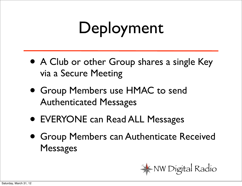# Deployment

- A Club or other Group shares a single Key via a Secure Meeting
- Group Members use HMAC to send Authenticated Messages
- EVERYONE can Read ALL Messages
- Group Members can Authenticate Received Messages

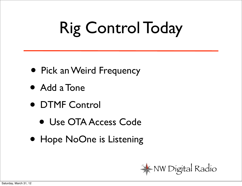# Rig Control Today

- Pick an Weird Frequency
- Add a Tone
- DTMF Control
	- Use OTA Access Code
- Hope NoOne is Listening

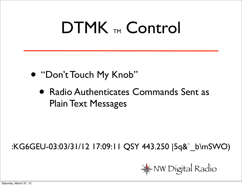#### DTMK TM Control

- "Don't Touch My Knob"
	- Radio Authenticates Commands Sent as Plain Text Messages

#### :KG6GEU-03:03/31/12 17:09:11 QSY 443.250 |5q&`\_b\mSWO)

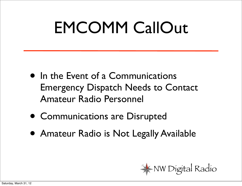### EMCOMM CallOut

- In the Event of a Communications Emergency Dispatch Needs to Contact Amateur Radio Personnel
- Communications are Disrupted
- Amateur Radio is Not Legally Available

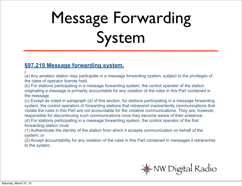# Message Forwarding System

#### **[§97.219 Message forwarding system.](http://www.arrl.org/part-97-amateur-radio#)**

**[-](http://www.arrl.org/part-97-amateur-radio#)**

(a) Any amateur station may participate in a message forwarding system, subject to the privileges of the class of operator license held.

(b) For stations participating in a message forwarding system, the control operator of the station originating a message is primarily accountable for any violation of the rules in this Part contained in the message.

(c) Except as noted in paragraph (d) of this section, for stations participating in a message forwarding system, the control operators of forwarding stations that retransmit inadvertently communications that violate the rules in this Part are not accountable for the violative communications. They are, however, responsible for discontinuing such communications once they become aware of their presence.

(d) For stations participating in a message forwarding system, the control operator of the first forwarding station must:

(1) Authenticate the identity of the station from which it accepts communication on behalf of the system; or

(2) Accept accountability for any violation of the rules in this Part contained in messages it retransmits to the system.

NW Digital Radio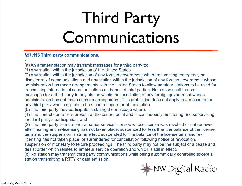## Third Party Communications

#### **[§97.115 Third party communications.](http://www.arrl.org/part-97-amateur-radio#)**

**[-](http://www.arrl.org/part-97-amateur-radio#)**

(a) An amateur station may transmit messages for a third party to:

(1) Any station within the jurisdiction of the United States.

(2) Any station within the jurisdiction of any foreign government when transmitting emergency or disaster relief communications and any station within the jurisdiction of any foreign government whose administration has made arrangements with the United States to allow amateur stations to be used for transmitting international communications on behalf of third parties. No station shall transmit messages for a third party to any station within the jurisdiction of any foreign government whose administration has not made such an arrangement. This prohibition does not apply to a message for any third party who is eligible to be a control operator of the station.

(b) The third party may participate in stating the message where:

(1) The control operator is present at the control point and is continuously monitoring and supervising the third party's participation; and

(2) The third party is not a prior amateur service licensee whose license was revoked or not renewed after hearing and re-licensing has not taken place; suspended for less than the balance of the license term and the suspension is still in effect; suspended for the balance of the license term and re-

licensing has not taken place; or surrendered for cancellation following notice of revocation,

suspension or monetary forfeiture proceedings. The third party may not be the subject of a cease and desist order which relates to amateur service operation and which is still in effect.

(c) No station may transmit third party communications while being automatically controlled except a station transmitting a RTTY or data emission.